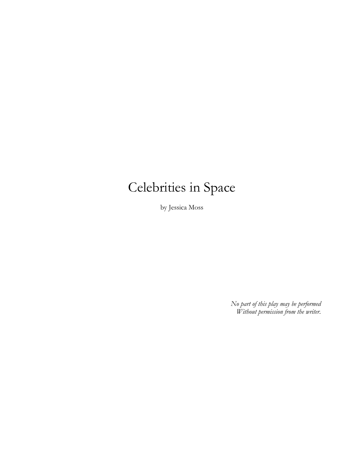# Celebrities in Space

by Jessica Moss

*No part of this play may be performed Without permission from the writer.*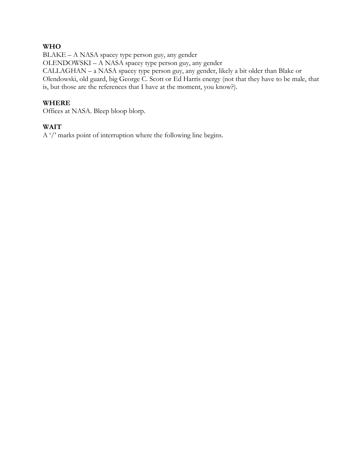# **WHO**

BLAKE – A NASA spacey type person guy, any gender OLENDOWSKI – A NASA spacey type person guy, any gender CALLAGHAN – a NASA spacey type person guy, any gender, likely a bit older than Blake or Olendowski, old guard, big George C. Scott or Ed Harris energy (not that they have to be male, that is, but those are the references that I have at the moment, you know?).

## **WHERE**

Offices at NASA. Bleep bloop blorp.

# **WAIT**

A '/' marks point of interruption where the following line begins.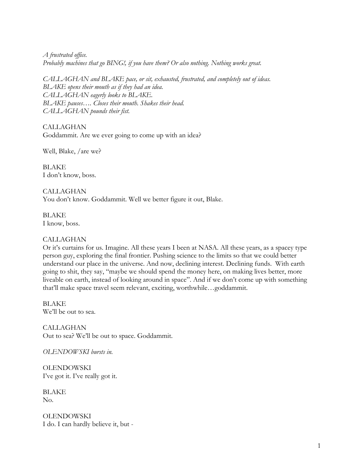*A frustrated office. Probably machines that go BING!, if you have them? Or also nothing. Nothing works great.*

*CALLAGHAN and BLAKE pace, or sit, exhausted, frustrated, and completely out of ideas. BLAKE opens their mouth as if they had an idea. CALLAGHAN eagerly looks to BLAKE. BLAKE pauses…. Closes their mouth. Shakes their head. CALLAGHAN pounds their fist.*

CALLAGHAN Goddammit. Are we ever going to come up with an idea?

Well, Blake, /are we?

BLAKE I don't know, boss.

CALLAGHAN You don't know. Goddammit. Well we better figure it out, Blake.

BLAKE I know, boss.

## CALLAGHAN

Or it's curtains for us. Imagine. All these years I been at NASA. All these years, as a spacey type person guy, exploring the final frontier. Pushing science to the limits so that we could better understand our place in the universe. And now, declining interest. Declining funds. With earth going to shit, they say, "maybe we should spend the money here, on making lives better, more liveable on earth, instead of looking around in space". And if we don't come up with something that'll make space travel seem relevant, exciting, worthwhile…goddammit.

BLAKE We'll be out to sea.

CALLAGHAN Out to sea? We'll be out to space. Goddammit.

*OLENDOWSKI bursts in.* 

**OLENDOWSKI** I've got it. I've really got it.

BLAKE No.

**OLENDOWSKI** I do. I can hardly believe it, but -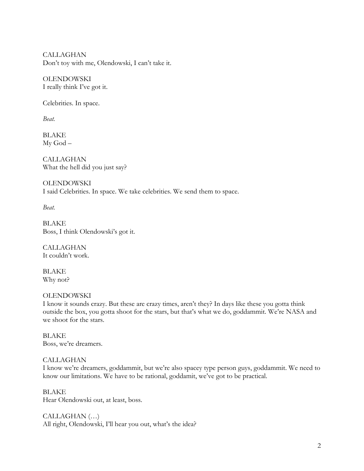CALLAGHAN Don't toy with me, Olendowski, I can't take it.

**OLENDOWSKI** I really think I've got it.

Celebrities. In space.

*Beat.*

BLAKE My God –

CALLAGHAN What the hell did you just say?

**OLENDOWSKI** I said Celebrities. In space. We take celebrities. We send them to space.

*Beat.*

BLAKE Boss, I think Olendowski's got it.

CALLAGHAN It couldn't work.

BLAKE Why not?

# **OLENDOWSKI**

I know it sounds crazy. But these are crazy times, aren't they? In days like these you gotta think outside the box, you gotta shoot for the stars, but that's what we do, goddammit. We're NASA and we shoot for the stars.

BLAKE Boss, we're dreamers.

# CALLAGHAN

I know we're dreamers, goddammit, but we're also spacey type person guys, goddammit. We need to know our limitations. We have to be rational, goddamit, we've got to be practical.

BLAKE Hear Olendowski out, at least, boss.

CALLAGHAN (…) All right, Olendowski, I'll hear you out, what's the idea?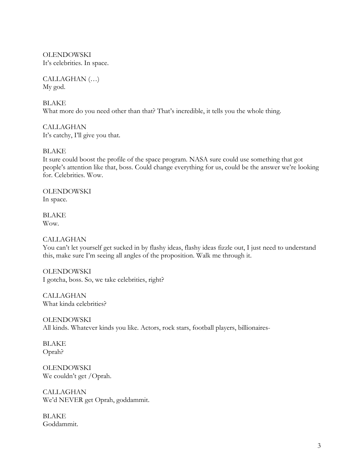**OLENDOWSKI** It's celebrities. In space.

CALLAGHAN (…) My god.

BLAKE What more do you need other than that? That's incredible, it tells you the whole thing.

CALLAGHAN It's catchy, I'll give you that.

BLAKE

It sure could boost the profile of the space program. NASA sure could use something that got people's attention like that, boss. Could change everything for us, could be the answer we're looking for. Celebrities. Wow.

**OLENDOWSKI** In space.

**BLAKE** Wow.

## CALLAGHAN

You can't let yourself get sucked in by flashy ideas, flashy ideas fizzle out, I just need to understand this, make sure I'm seeing all angles of the proposition. Walk me through it.

**OLENDOWSKI** I gotcha, boss. So, we take celebrities, right?

CALLAGHAN What kinda celebrities?

**OLENDOWSKI** All kinds. Whatever kinds you like. Actors, rock stars, football players, billionaires-

BLAKE Oprah?

**OLENDOWSKI** We couldn't get /Oprah.

CALLAGHAN We'd NEVER get Oprah, goddammit.

BLAKE Goddammit.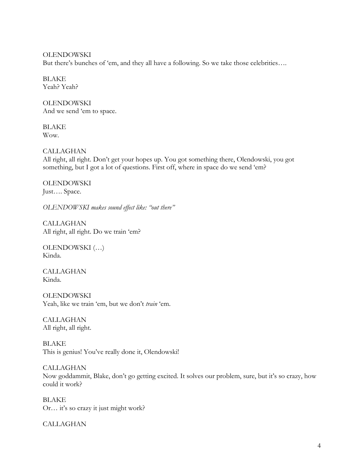**OLENDOWSKI** But there's bunches of 'em, and they all have a following. So we take those celebrities….

BLAKE Yeah? Yeah?

**OLENDOWSKI** And we send 'em to space.

BLAKE Wow.

CALLAGHAN

All right, all right. Don't get your hopes up. You got something there, Olendowski, you got something, but I got a lot of questions. First off, where in space do we send 'em?

**OLENDOWSKI** Just…. Space.

*OLENDOWSKI makes sound effect like: "out there"*

CALLAGHAN All right, all right. Do we train 'em?

OLENDOWSKI (…) Kinda.

CALLAGHAN Kinda.

**OLENDOWSKI** Yeah, like we train 'em, but we don't *train* 'em.

CALLAGHAN All right, all right.

BLAKE This is genius! You've really done it, Olendowski!

CALLAGHAN Now goddammit, Blake, don't go getting excited. It solves our problem, sure, but it's so crazy, how could it work?

BLAKE Or… it's so crazy it just might work?

CALLAGHAN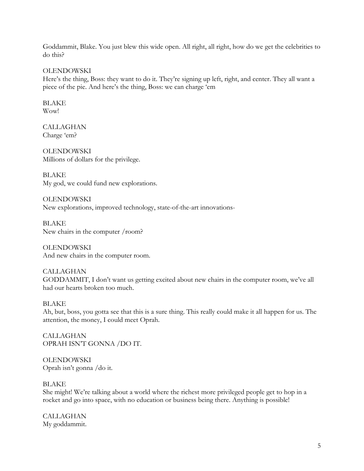Goddammit, Blake. You just blew this wide open. All right, all right, how do we get the celebrities to do this?

OLENDOWSKI

Here's the thing, Boss: they want to do it. They're signing up left, right, and center. They all want a piece of the pie. And here's the thing, Boss: we can charge 'em

BLAKE Wow!

CALLAGHAN Charge 'em?

**OLENDOWSKI** Millions of dollars for the privilege.

BLAKE My god, we could fund new explorations.

**OLENDOWSKI** New explorations, improved technology, state-of-the-art innovations-

BLAKE New chairs in the computer /room?

**OLENDOWSKI** And new chairs in the computer room.

CALLAGHAN GODDAMMIT, I don't want us getting excited about new chairs in the computer room, we've all had our hearts broken too much.

## **BLAKE**

Ah, but, boss, you gotta see that this is a sure thing. This really could make it all happen for us. The attention, the money, I could meet Oprah.

**CALLAGHAN** OPRAH ISN'T GONNA /DO IT.

**OLENDOWSKI** Oprah isn't gonna /do it.

#### BLAKE

She might! We're talking about a world where the richest more privileged people get to hop in a rocket and go into space, with no education or business being there. Anything is possible!

CALLAGHAN My goddammit.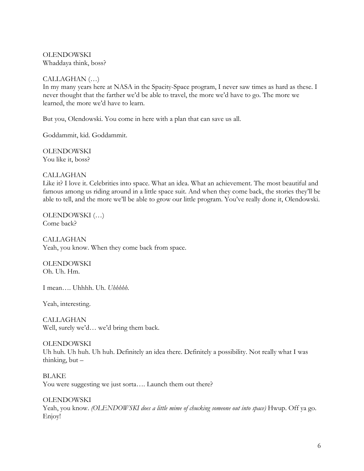**OLENDOWSKI** Whaddaya think, boss?

## CALLAGHAN (…)

In my many years here at NASA in the Spacity-Space program, I never saw times as hard as these. I never thought that the farther we'd be able to travel, the more we'd have to go. The more we learned, the more we'd have to learn.

But you, Olendowski. You come in here with a plan that can save us all.

Goddammit, kid. Goddammit.

**OLENDOWSKI** You like it, boss?

## CALLAGHAN

Like it? I love it. Celebrities into space. What an idea. What an achievement. The most beautiful and famous among us riding around in a little space suit. And when they come back, the stories they'll be able to tell, and the more we'll be able to grow our little program. You've really done it, Olendowski.

OLENDOWSKI (…) Come back?

CALLAGHAN Yeah, you know. When they come back from space.

**OLENDOWSKI** Oh. Uh. Hm.

I mean…. Uhhhh. Uh. *Uhhhhh*.

Yeah, interesting.

CALLAGHAN Well, surely we'd… we'd bring them back.

#### **OLENDOWSKI**

Uh huh. Uh huh. Uh huh. Definitely an idea there. Definitely a possibility. Not really what I was thinking, but –

BLAKE You were suggesting we just sorta.... Launch them out there?

**OLENDOWSKI** Yeah, you know. *(OLENDOWSKI does a little mime of chucking someone out into space)* Hwup. Off ya go. Enjoy!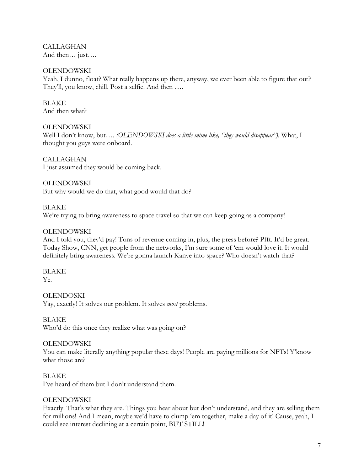CALLAGHAN And then… just….

## **OLENDOWSKI**

Yeah, I dunno, float? What really happens up there, anyway, we ever been able to figure that out? They'll, you know, chill. Post a selfie. And then ….

**BLAKE** And then what?

## **OLENDOWSKI**

Well I don't know, but…. *(OLENDOWSKI does a little mime like, "they would disappear").* What, I thought you guys were onboard.

CALLAGHAN I just assumed they would be coming back.

**OLENDOWSKI** But why would we do that, what good would that do?

**BLAKE** We're trying to bring awareness to space travel so that we can keep going as a company!

## **OLENDOWSKI**

And I told you, they'd pay! Tons of revenue coming in, plus, the press before? Pfft. It'd be great. Today Show, CNN, get people from the networks, I'm sure some of 'em would love it. It would definitely bring awareness. We're gonna launch Kanye into space? Who doesn't watch that?

BLAKE Ye.

**OLENDOSKI** Yay, exactly! It solves our problem. It solves *most* problems.

BLAKE Who'd do this once they realize what was going on?

## **OLENDOWSKI**

You can make literally anything popular these days! People are paying millions for NFTs! Y'know what those are?

BLAKE I've heard of them but I don't understand them.

## **OLENDOWSKI**

Exactly! That's what they are. Things you hear about but don't understand, and they are selling them for millions! And I mean, maybe we'd have to clump 'em together, make a day of it! Cause, yeah, I could see interest declining at a certain point, BUT STILL!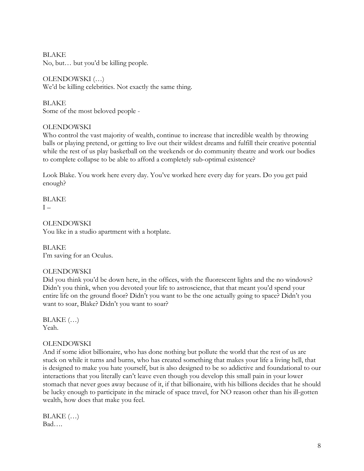BLAKE No, but… but you'd be killing people.

OLENDOWSKI (…) We'd be killing celebrities. Not exactly the same thing.

BLAKE Some of the most beloved people -

# **OLENDOWSKI**

Who control the vast majority of wealth, continue to increase that incredible wealth by throwing balls or playing pretend, or getting to live out their wildest dreams and fulfill their creative potential while the rest of us play basketball on the weekends or do community theatre and work our bodies to complete collapse to be able to afford a completely sub-optimal existence?

Look Blake. You work here every day. You've worked here every day for years. Do you get paid enough?

BLAKE  $I -$ 

OLENDOWSKI You like in a studio apartment with a hotplate.

BLAKE I'm saving for an Oculus.

# OLENDOWSKI

Did you think you'd be down here, in the offices, with the fluorescent lights and the no windows? Didn't you think, when you devoted your life to astroscience, that that meant you'd spend your entire life on the ground floor? Didn't you want to be the one actually going to space? Didn't you want to soar, Blake? Didn't you want to soar?

 $BLAKE$   $(...)$ Yeah.

# **OLENDOWSKI**

And if some idiot billionaire, who has done nothing but pollute the world that the rest of us are stuck on while it turns and burns, who has created something that makes your life a living hell, that is designed to make you hate yourself, but is also designed to be so addictive and foundational to our interactions that you literally can't leave even though you develop this small pain in your lower stomach that never goes away because of it, if that billionaire, with his billions decides that he should be lucky enough to participate in the miracle of space travel, for NO reason other than his ill-gotten wealth, how does that make you feel.

 $BLAKE$   $(...)$ Bad….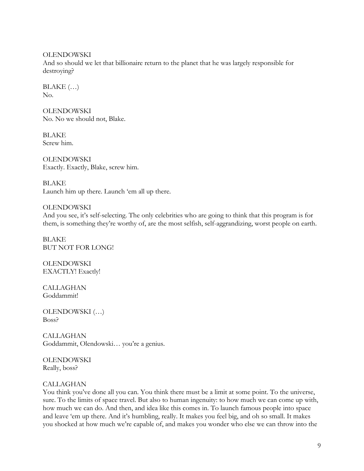**OLENDOWSKI** 

And so should we let that billionaire return to the planet that he was largely responsible for destroying?

 $BLAKE$   $(...)$ No.

**OLENDOWSKI** No. No we should not, Blake.

BLAKE Screw him.

**OLENDOWSKI** Exactly. Exactly, Blake, screw him.

BLAKE Launch him up there. Launch 'em all up there.

# **OLENDOWSKI**

And you see, it's self-selecting. The only celebrities who are going to think that this program is for them, is something they're worthy of, are the most selfish, self-aggrandizing, worst people on earth.

BLAKE BUT NOT FOR LONG!

**OLENDOWSKI** EXACTLY! Exactly!

CALLAGHAN Goddammit!

OLENDOWSKI (…) Boss?

CALLAGHAN Goddammit, Olendowski… you're a genius.

**OLENDOWSKI** Really, boss?

## CALLAGHAN

You think you've done all you can. You think there must be a limit at some point. To the universe, sure. To the limits of space travel. But also to human ingenuity: to how much we can come up with, how much we can do. And then, and idea like this comes in. To launch famous people into space and leave 'em up there. And it's humbling, really. It makes you feel big, and oh so small. It makes you shocked at how much we're capable of, and makes you wonder who else we can throw into the